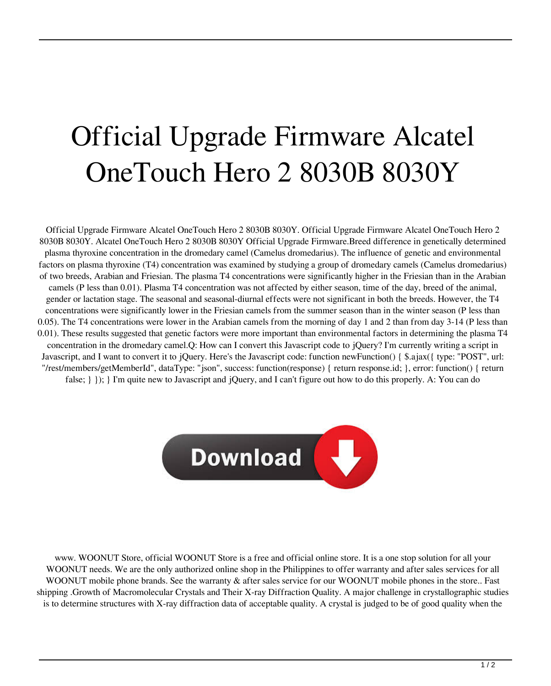## Official Upgrade Firmware Alcatel OneTouch Hero 2 8030B 8030Y

Official Upgrade Firmware Alcatel OneTouch Hero 2 8030B 8030Y. Official Upgrade Firmware Alcatel OneTouch Hero 2 8030B 8030Y. Alcatel OneTouch Hero 2 8030B 8030Y Official Upgrade Firmware.Breed difference in genetically determined plasma thyroxine concentration in the dromedary camel (Camelus dromedarius). The influence of genetic and environmental factors on plasma thyroxine (T4) concentration was examined by studying a group of dromedary camels (Camelus dromedarius) of two breeds, Arabian and Friesian. The plasma T4 concentrations were significantly higher in the Friesian than in the Arabian camels (P less than 0.01). Plasma T4 concentration was not affected by either season, time of the day, breed of the animal, gender or lactation stage. The seasonal and seasonal-diurnal effects were not significant in both the breeds. However, the T4 concentrations were significantly lower in the Friesian camels from the summer season than in the winter season (P less than 0.05). The T4 concentrations were lower in the Arabian camels from the morning of day 1 and 2 than from day 3-14 (P less than 0.01). These results suggested that genetic factors were more important than environmental factors in determining the plasma T4 concentration in the dromedary camel.Q: How can I convert this Javascript code to jQuery? I'm currently writing a script in Javascript, and I want to convert it to jQuery. Here's the Javascript code: function newFunction() { \$.ajax({ type: "POST", url: "/rest/members/getMemberId", dataType: "json", success: function(response) { return response.id; }, error: function() { return false; } }); } I'm quite new to Javascript and jQuery, and I can't figure out how to do this properly. A: You can do



www. WOONUT Store, official WOONUT Store is a free and official online store. It is a one stop solution for all your WOONUT needs. We are the only authorized online shop in the Philippines to offer warranty and after sales services for all WOONUT mobile phone brands. See the warranty & after sales service for our WOONUT mobile phones in the store.. Fast shipping .Growth of Macromolecular Crystals and Their X-ray Diffraction Quality. A major challenge in crystallographic studies is to determine structures with X-ray diffraction data of acceptable quality. A crystal is judged to be of good quality when the